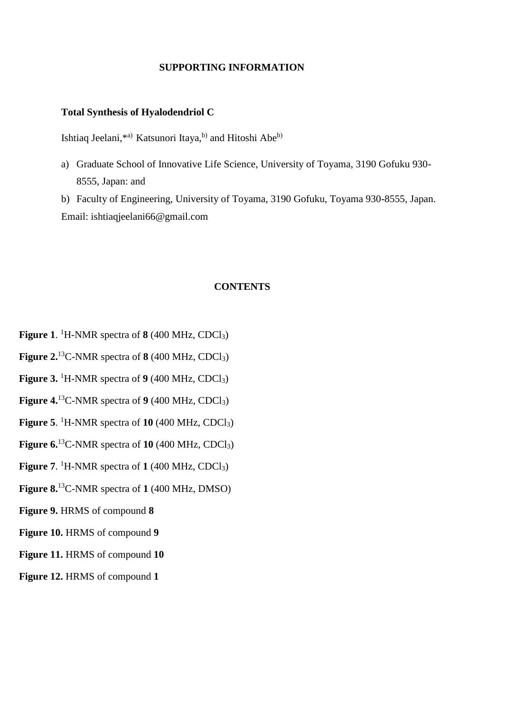## **SUPPORTING INFORMATION**

## **Total Synthesis of Hyalodendriol C**

Ishtiaq Jeelani,\*a) Katsunori Itaya,<sup>b)</sup> and Hitoshi Abe<sup>b)</sup>

a) Graduate School of Innovative Life Science, University of Toyama, 3190 Gofuku 930- 8555, Japan: and

b) Faculty of Engineering, University of Toyama, 3190 Gofuku, Toyama 930-8555, Japan. Email: ishtiaqjeelani66@gmail.com

## **CONTENTS**

- **Figure 1**. <sup>1</sup>H-NMR spectra of **8** (400 MHz, CDCl3)
- **Figure 2.**<sup>13</sup>C-NMR spectra of **8** (400 MHz, CDCl3)
- **Figure 3.** <sup>1</sup>H-NMR spectra of  $9(400 \text{ MHz}, \text{CDCl}_3)$
- **Figure 4.**<sup>13</sup>C-NMR spectra of  $9(400 \text{ MHz}, \text{CDCl}_3)$
- **Figure 5**. <sup>1</sup>H-NMR spectra of **10** (400 MHz, CDCl3)
- **Figure 6.**<sup>13</sup>C-NMR spectra of **10** (400 MHz, CDCl<sub>3</sub>)
- **Figure 7**. <sup>1</sup>H-NMR spectra of **1** (400 MHz, CDCl3)
- **Figure 8.**<sup>13</sup>C-NMR spectra of **1** (400 MHz, DMSO)
- **Figure 9.** HRMS of compound **8**
- **Figure 10.** HRMS of compound **9**
- **Figure 11.** HRMS of compound **10**
- **Figure 12.** HRMS of compound **1**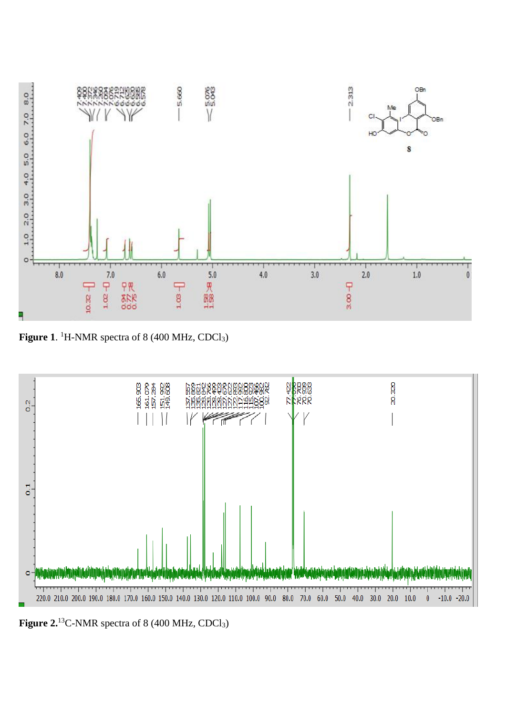

Figure 1. <sup>1</sup>H-NMR spectra of 8 (400 MHz, CDCl<sub>3</sub>)



Figure 2.<sup>13</sup>C-NMR spectra of 8 (400 MHz, CDCl<sub>3</sub>)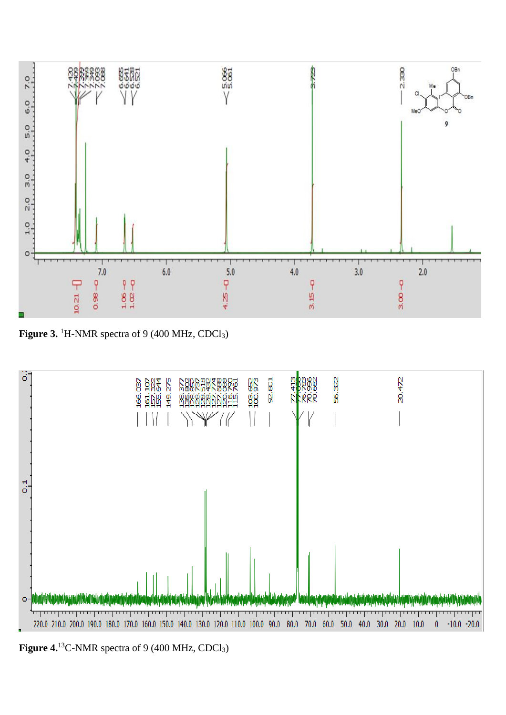

Figure 3. <sup>1</sup>H-NMR spectra of 9 (400 MHz, CDCl<sub>3</sub>)



Figure 4.<sup>13</sup>C-NMR spectra of 9 (400 MHz, CDCl<sub>3</sub>)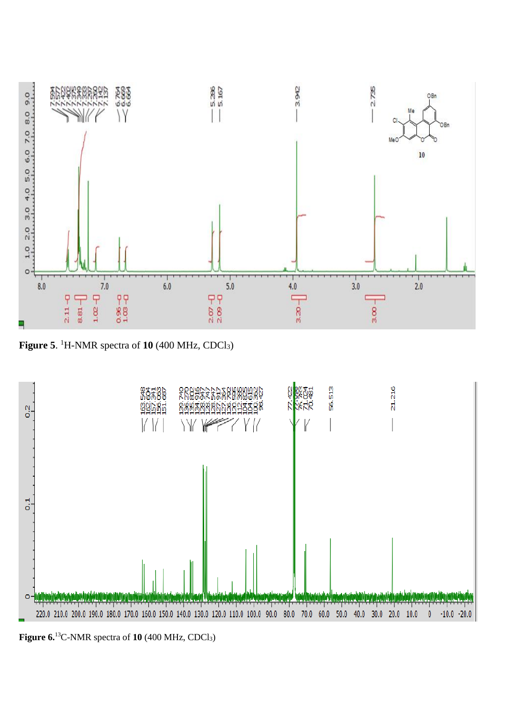

**Figure 5**. <sup>1</sup>H-NMR spectra of **10** (400 MHz, CDCl3)



**Figure 6.** <sup>13</sup>C-NMR spectra of **10** (400 MHz, CDCl3)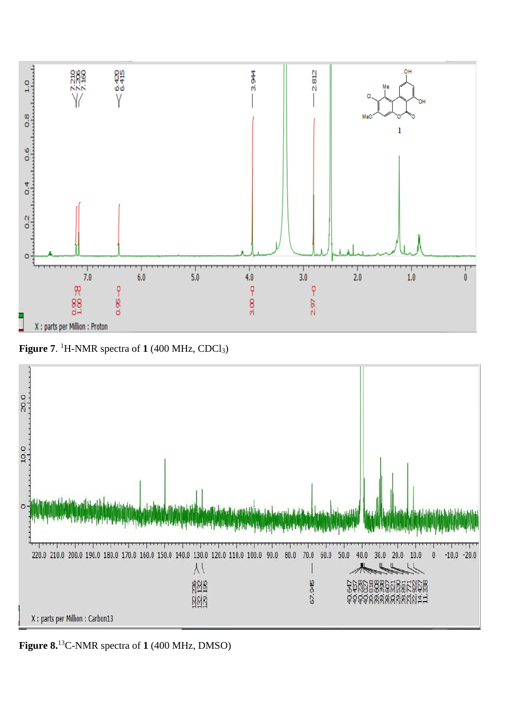

**Figure 7**. <sup>1</sup>H-NMR spectra of **1** (400 MHz, CDCl3)



**Figure 8.** <sup>13</sup>C-NMR spectra of **1** (400 MHz, DMSO)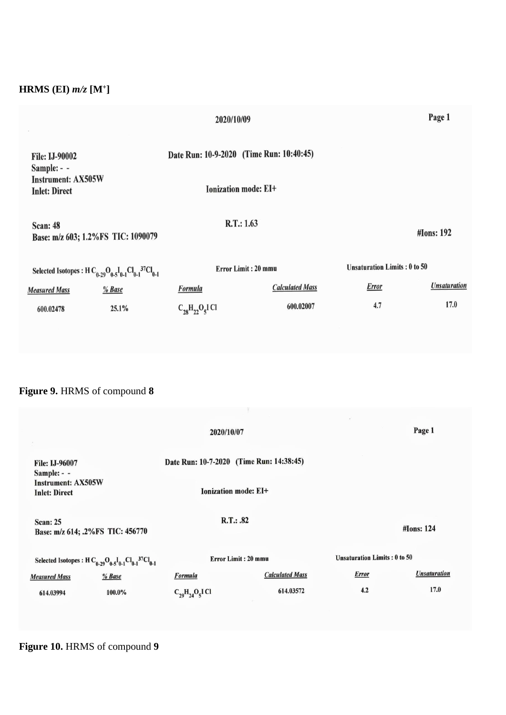# **HRMS (EI)** *m/z* **[M<sup>+</sup> ]**

|                                                                     |        | Page 1               |                                          |              |                                     |  |
|---------------------------------------------------------------------|--------|----------------------|------------------------------------------|--------------|-------------------------------------|--|
| <b>File: IJ-90002</b><br>Sample: - -                                |        |                      | Date Run: 10-9-2020 (Time Run: 10:40:45) |              |                                     |  |
| <b>Instrument: AX505W</b><br><b>Inlet: Direct</b>                   |        |                      | Ionization mode: EI+                     |              |                                     |  |
| <b>Scan: 48</b><br>Base: m/z 603; 1.2%FS TIC: 1090079               |        |                      | R.T.: 1.63                               |              | <b>#Ions: 192</b>                   |  |
| Selected Isotopes : H $C_{0-29}O_{0.5}I_{0.1}Cl_{0.1}^{37}Cl_{0.1}$ |        |                      | Error Limit: 20 mmu                      |              | <b>Unsaturation Limits: 0 to 50</b> |  |
| <b>Measured Mass</b>                                                | % Base | <b>Formula</b>       | <b>Calculated Mass</b>                   | <b>Error</b> | <b>Unsaturation</b>                 |  |
| 600.02478                                                           | 25.1%  | $C_{28}H_{22}O_5IC1$ | 600.02007                                | 4.7          | 17.0                                |  |

# **Figure 9.** HRMS of compound **8**

|                                                                                                                             | 2020/10/07                               |                             |                                     | Page 1              |
|-----------------------------------------------------------------------------------------------------------------------------|------------------------------------------|-----------------------------|-------------------------------------|---------------------|
| <b>File: IJ-96007</b><br>Sample: - -                                                                                        | Date Run: 10-7-2020 (Time Run: 14:38:45) |                             |                                     |                     |
| <b>Instrument: AX505W</b><br><b>Inlet: Direct</b>                                                                           |                                          | <b>Ionization mode: EI+</b> |                                     |                     |
| <b>Scan: 25</b><br>Base: m/z 614; .2%FS TIC: 456770                                                                         | R.T.: .82                                |                             | #Ions: 124                          |                     |
| Selected Isotopes : H C <sub>0-29</sub> O <sub>0-5</sub> I <sub>0-1</sub> Cl <sub>0-1</sub> <sup>37</sup> Cl <sub>0-1</sub> | <b>Error Limit: 20 mmu</b>               |                             | <b>Unsaturation Limits: 0 to 50</b> |                     |
| % Base<br><b>Measured Mass</b>                                                                                              | <b>Formula</b>                           | <b>Calculated Mass</b>      | <b>Error</b>                        | <b>Unsaturation</b> |
| 100.0%<br>614.03994                                                                                                         | $C_{29}H_{24}O_5IC1$                     | 614.03572                   | 4.2                                 | 17.0                |